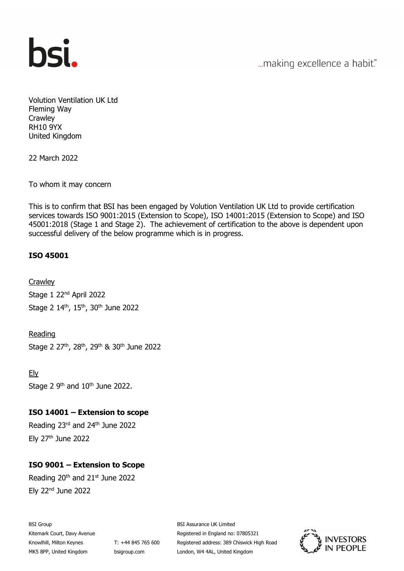

... making excellence a habit."

Volution Ventilation UK Ltd Fleming Way **Crawley** RH10 9YX United Kingdom

22 March 2022

To whom it may concern

This is to confirm that BSI has been engaged by Volution Ventilation UK Ltd to provide certification services towards ISO 9001:2015 (Extension to Scope), ISO 14001:2015 (Extension to Scope) and ISO 45001:2018 (Stage 1 and Stage 2). The achievement of certification to the above is dependent upon successful delivery of the below programme which is in progress.

## ISO 45001

**Crawley** Stage 1 22<sup>nd</sup> April 2022 Stage 2 14th, 15th, 30th June 2022

Reading Stage 2 27<sup>th</sup>, 28<sup>th</sup>, 29<sup>th</sup> & 30<sup>th</sup> June 2022

Ely Stage 2  $9<sup>th</sup>$  and  $10<sup>th</sup>$  June 2022.

## ISO 14001 – Extension to scope

Reading 23rd and 24th June 2022 Ely 27th June 2022

## ISO 9001 – Extension to Scope

Reading  $20<sup>th</sup>$  and  $21<sup>st</sup>$  June 2022 Ely 22nd June 2022

BSI Group Kitemark Court, Davy Avenue Knowlhill, Milton Keynes MK5 8PP, United Kingdom

T: +44 845 765 600 bsigroup.com

BSI Assurance UK Limited Registered in England no: 07805321 Registered address: 389 Chiswick High Road London, W4 4AL, United Kingdom